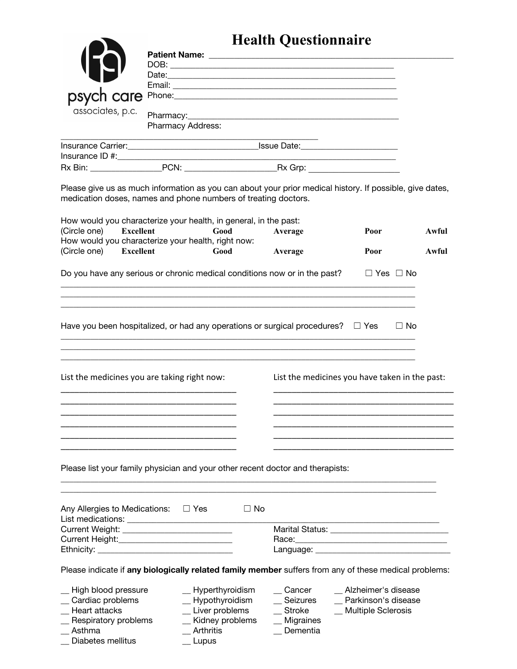## **Health Questionnaire**

|                                                                                                                                                                            |                                                                                                |           | <b>Health Questionnaire</b> |                                                |           |
|----------------------------------------------------------------------------------------------------------------------------------------------------------------------------|------------------------------------------------------------------------------------------------|-----------|-----------------------------|------------------------------------------------|-----------|
|                                                                                                                                                                            |                                                                                                |           |                             |                                                |           |
|                                                                                                                                                                            |                                                                                                |           |                             |                                                |           |
|                                                                                                                                                                            |                                                                                                |           |                             |                                                |           |
|                                                                                                                                                                            |                                                                                                |           |                             |                                                |           |
|                                                                                                                                                                            |                                                                                                |           |                             |                                                |           |
| associates, p.c.                                                                                                                                                           |                                                                                                |           |                             |                                                |           |
|                                                                                                                                                                            | Pharmacy Address:                                                                              |           |                             |                                                |           |
|                                                                                                                                                                            |                                                                                                |           |                             |                                                |           |
|                                                                                                                                                                            |                                                                                                |           |                             |                                                |           |
|                                                                                                                                                                            |                                                                                                |           |                             |                                                |           |
|                                                                                                                                                                            |                                                                                                |           |                             |                                                |           |
| Please give us as much information as you can about your prior medical history. If possible, give dates,<br>medication doses, names and phone numbers of treating doctors. |                                                                                                |           |                             |                                                |           |
| How would you characterize your health, in general, in the past:                                                                                                           |                                                                                                |           |                             |                                                |           |
| (Circle one)<br>Excellent                                                                                                                                                  | Good                                                                                           |           | Average                     | Poor                                           | Awful     |
| How would you characterize your health, right now:                                                                                                                         |                                                                                                |           |                             |                                                |           |
| (Circle one) Excellent                                                                                                                                                     | Good                                                                                           |           | Average                     | Poor                                           | Awful     |
|                                                                                                                                                                            | Do you have any serious or chronic medical conditions now or in the past? $\Box$ Yes $\Box$ No |           |                             |                                                |           |
| Have you been hospitalized, or had any operations or surgical procedures? $\square$ Yes                                                                                    |                                                                                                |           |                             |                                                | $\Box$ No |
| List the medicines you are taking right now:                                                                                                                               |                                                                                                |           |                             | List the medicines you have taken in the past: |           |
| Please list your family physician and your other recent doctor and therapists:                                                                                             |                                                                                                |           |                             |                                                |           |
| Any Allergies to Medications:                                                                                                                                              | $\Box$ Yes                                                                                     | $\Box$ No |                             |                                                |           |
|                                                                                                                                                                            |                                                                                                |           |                             |                                                |           |
| Current Height: Current Height:                                                                                                                                            |                                                                                                |           |                             |                                                |           |
|                                                                                                                                                                            |                                                                                                |           |                             |                                                |           |
| Please indicate if any biologically related family member suffers from any of these medical problems:                                                                      |                                                                                                |           |                             |                                                |           |
| _ High blood pressure                                                                                                                                                      | $\_$ Hyperthyroidism                                                                           |           | Cancer                      | Alzheimer's disease                            |           |
| _ Cardiac problems                                                                                                                                                         | _ Hypothyroidism                                                                               |           | _ Seizures                  | _ Parkinson's disease                          |           |
| _ Heart attacks                                                                                                                                                            | $\_$ Liver problems                                                                            |           | $\equiv$ Stroke             | _ Multiple Sclerosis                           |           |
| _ Respiratory problems                                                                                                                                                     | _ Kidney problems                                                                              |           | $\_$ Migraines              |                                                |           |
| $\_$ Asthma                                                                                                                                                                | Arthritis                                                                                      |           | Dementia                    |                                                |           |
| Diabetes mellitus                                                                                                                                                          | Lupus                                                                                          |           |                             |                                                |           |